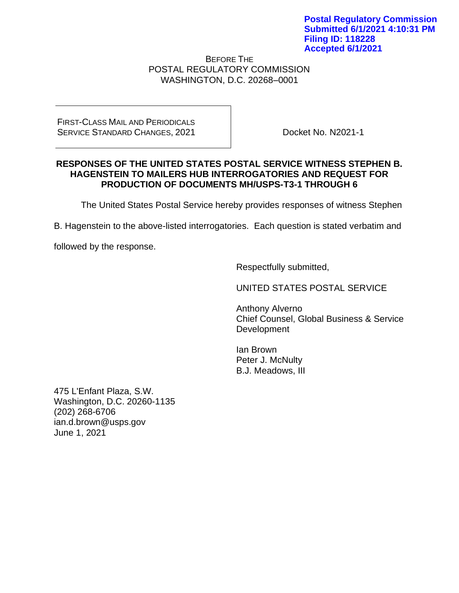BEFORE THE POSTAL REGULATORY COMMISSION WASHINGTON, D.C. 20268–0001

FIRST-CLASS MAIL AND PERIODICALS SERVICE STANDARD CHANGES, 2021

Docket No. N2021-1

#### **RESPONSES OF THE UNITED STATES POSTAL SERVICE WITNESS STEPHEN B. HAGENSTEIN TO MAILERS HUB INTERROGATORIES AND REQUEST FOR PRODUCTION OF DOCUMENTS MH/USPS-T3-1 THROUGH 6**

The United States Postal Service hereby provides responses of witness Stephen

B. Hagenstein to the above-listed interrogatories. Each question is stated verbatim and

followed by the response.

Respectfully submitted,

UNITED STATES POSTAL SERVICE

Anthony Alverno Chief Counsel, Global Business & Service Development

Ian Brown Peter J. McNulty B.J. Meadows, III

475 L'Enfant Plaza, S.W. Washington, D.C. 20260-1135 (202) 268-6706 ian.d.brown@usps.gov June 1, 2021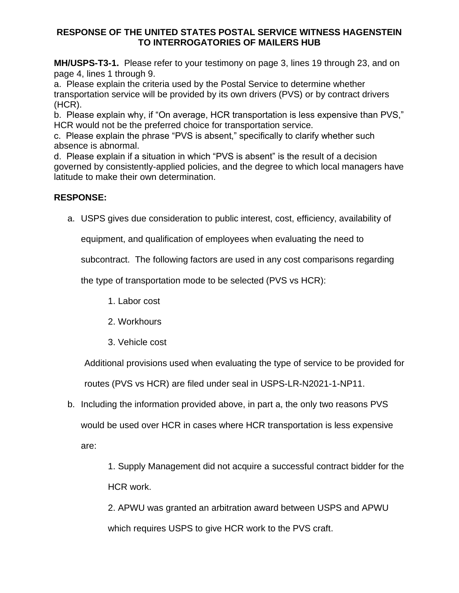**MH/USPS-T3-1.** Please refer to your testimony on page 3, lines 19 through 23, and on page 4, lines 1 through 9.

a. Please explain the criteria used by the Postal Service to determine whether transportation service will be provided by its own drivers (PVS) or by contract drivers (HCR).

b. Please explain why, if "On average, HCR transportation is less expensive than PVS," HCR would not be the preferred choice for transportation service.

c. Please explain the phrase "PVS is absent," specifically to clarify whether such absence is abnormal.

d. Please explain if a situation in which "PVS is absent" is the result of a decision governed by consistently-applied policies, and the degree to which local managers have latitude to make their own determination.

# **RESPONSE:**

a. USPS gives due consideration to public interest, cost, efficiency, availability of

equipment, and qualification of employees when evaluating the need to

subcontract. The following factors are used in any cost comparisons regarding

the type of transportation mode to be selected (PVS vs HCR):

- 1. Labor cost
- 2. Workhours
- 3. Vehicle cost

Additional provisions used when evaluating the type of service to be provided for

routes (PVS vs HCR) are filed under seal in USPS-LR-N2021-1-NP11.

b. Including the information provided above, in part a, the only two reasons PVS

would be used over HCR in cases where HCR transportation is less expensive

are:

1. Supply Management did not acquire a successful contract bidder for the HCR work.

2. APWU was granted an arbitration award between USPS and APWU which requires USPS to give HCR work to the PVS craft.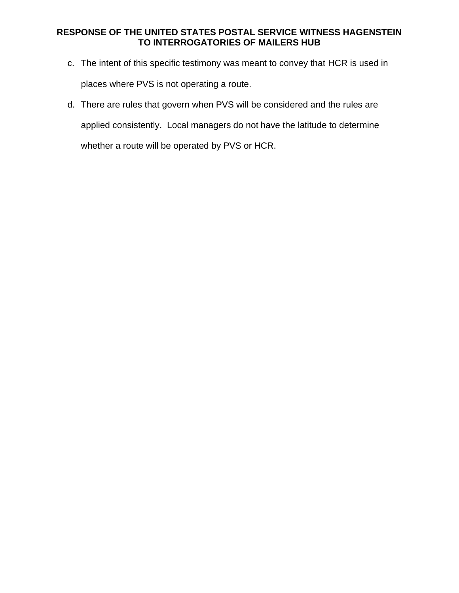- c. The intent of this specific testimony was meant to convey that HCR is used in places where PVS is not operating a route.
- d. There are rules that govern when PVS will be considered and the rules are applied consistently. Local managers do not have the latitude to determine whether a route will be operated by PVS or HCR.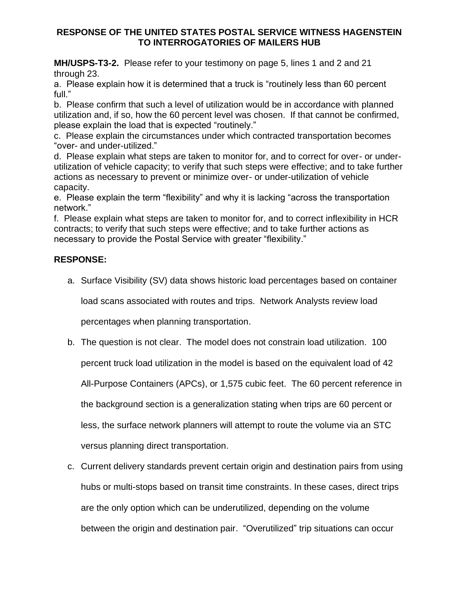**MH/USPS-T3-2.** Please refer to your testimony on page 5, lines 1 and 2 and 21 through 23.

a. Please explain how it is determined that a truck is "routinely less than 60 percent full."

b. Please confirm that such a level of utilization would be in accordance with planned utilization and, if so, how the 60 percent level was chosen. If that cannot be confirmed, please explain the load that is expected "routinely."

c. Please explain the circumstances under which contracted transportation becomes "over- and under-utilized."

d. Please explain what steps are taken to monitor for, and to correct for over- or underutilization of vehicle capacity; to verify that such steps were effective; and to take further actions as necessary to prevent or minimize over- or under-utilization of vehicle capacity.

e. Please explain the term "flexibility" and why it is lacking "across the transportation network."

f. Please explain what steps are taken to monitor for, and to correct inflexibility in HCR contracts; to verify that such steps were effective; and to take further actions as necessary to provide the Postal Service with greater "flexibility."

# **RESPONSE:**

a. Surface Visibility (SV) data shows historic load percentages based on container

load scans associated with routes and trips. Network Analysts review load

percentages when planning transportation.

b. The question is not clear. The model does not constrain load utilization. 100

percent truck load utilization in the model is based on the equivalent load of 42

All-Purpose Containers (APCs), or 1,575 cubic feet. The 60 percent reference in

the background section is a generalization stating when trips are 60 percent or

less, the surface network planners will attempt to route the volume via an STC

versus planning direct transportation.

c. Current delivery standards prevent certain origin and destination pairs from using hubs or multi-stops based on transit time constraints. In these cases, direct trips are the only option which can be underutilized, depending on the volume between the origin and destination pair. "Overutilized" trip situations can occur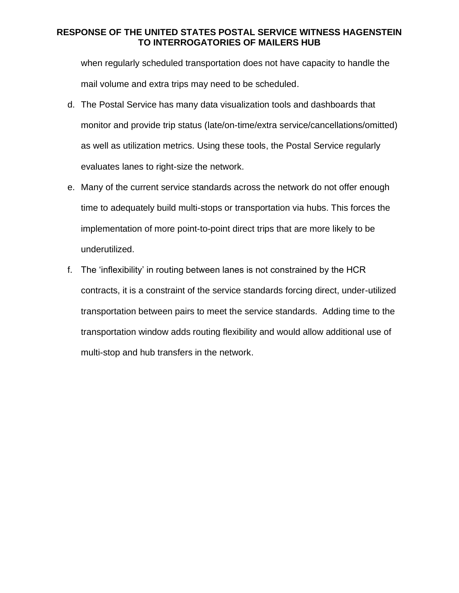when regularly scheduled transportation does not have capacity to handle the mail volume and extra trips may need to be scheduled.

- d. The Postal Service has many data visualization tools and dashboards that monitor and provide trip status (late/on-time/extra service/cancellations/omitted) as well as utilization metrics. Using these tools, the Postal Service regularly evaluates lanes to right-size the network.
- e. Many of the current service standards across the network do not offer enough time to adequately build multi-stops or transportation via hubs. This forces the implementation of more point-to-point direct trips that are more likely to be underutilized.
- f. The 'inflexibility' in routing between lanes is not constrained by the HCR contracts, it is a constraint of the service standards forcing direct, under-utilized transportation between pairs to meet the service standards. Adding time to the transportation window adds routing flexibility and would allow additional use of multi-stop and hub transfers in the network.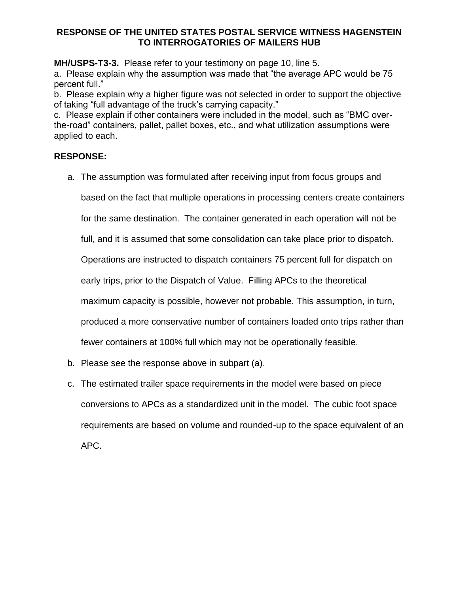**MH/USPS-T3-3.** Please refer to your testimony on page 10, line 5.

a. Please explain why the assumption was made that "the average APC would be 75 percent full."

b. Please explain why a higher figure was not selected in order to support the objective of taking "full advantage of the truck's carrying capacity."

c. Please explain if other containers were included in the model, such as "BMC overthe-road" containers, pallet, pallet boxes, etc., and what utilization assumptions were applied to each.

## **RESPONSE:**

a. The assumption was formulated after receiving input from focus groups and

based on the fact that multiple operations in processing centers create containers

for the same destination. The container generated in each operation will not be

full, and it is assumed that some consolidation can take place prior to dispatch.

Operations are instructed to dispatch containers 75 percent full for dispatch on

early trips, prior to the Dispatch of Value. Filling APCs to the theoretical

maximum capacity is possible, however not probable. This assumption, in turn,

produced a more conservative number of containers loaded onto trips rather than

fewer containers at 100% full which may not be operationally feasible.

- b. Please see the response above in subpart (a).
- c. The estimated trailer space requirements in the model were based on piece conversions to APCs as a standardized unit in the model. The cubic foot space requirements are based on volume and rounded-up to the space equivalent of an APC.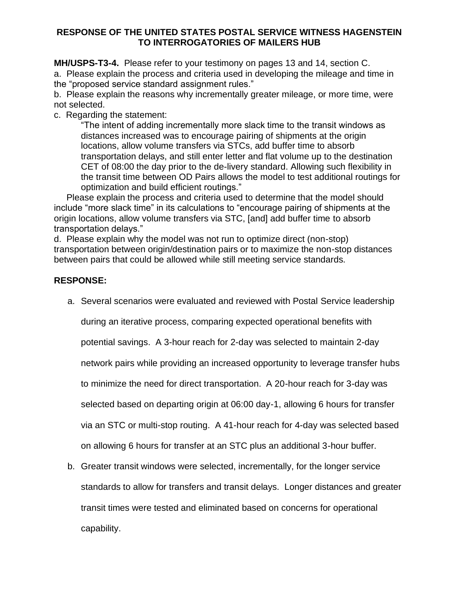**MH/USPS-T3-4.** Please refer to your testimony on pages 13 and 14, section C. a. Please explain the process and criteria used in developing the mileage and time in the "proposed service standard assignment rules."

b. Please explain the reasons why incrementally greater mileage, or more time, were not selected.

c. Regarding the statement:

"The intent of adding incrementally more slack time to the transit windows as distances increased was to encourage pairing of shipments at the origin locations, allow volume transfers via STCs, add buffer time to absorb transportation delays, and still enter letter and flat volume up to the destination CET of 08:00 the day prior to the de-livery standard. Allowing such flexibility in the transit time between OD Pairs allows the model to test additional routings for optimization and build efficient routings."

 Please explain the process and criteria used to determine that the model should include "more slack time" in its calculations to "encourage pairing of shipments at the origin locations, allow volume transfers via STC, [and] add buffer time to absorb transportation delays."

d. Please explain why the model was not run to optimize direct (non-stop) transportation between origin/destination pairs or to maximize the non-stop distances between pairs that could be allowed while still meeting service standards.

## **RESPONSE:**

a. Several scenarios were evaluated and reviewed with Postal Service leadership

during an iterative process, comparing expected operational benefits with

potential savings. A 3-hour reach for 2-day was selected to maintain 2-day

network pairs while providing an increased opportunity to leverage transfer hubs

to minimize the need for direct transportation. A 20-hour reach for 3-day was

selected based on departing origin at 06:00 day-1, allowing 6 hours for transfer

via an STC or multi-stop routing. A 41-hour reach for 4-day was selected based

on allowing 6 hours for transfer at an STC plus an additional 3-hour buffer.

b. Greater transit windows were selected, incrementally, for the longer service standards to allow for transfers and transit delays. Longer distances and greater transit times were tested and eliminated based on concerns for operational capability.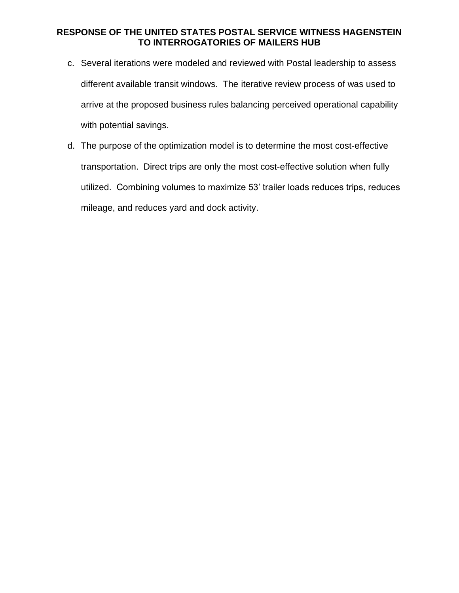- c. Several iterations were modeled and reviewed with Postal leadership to assess different available transit windows. The iterative review process of was used to arrive at the proposed business rules balancing perceived operational capability with potential savings.
- d. The purpose of the optimization model is to determine the most cost-effective transportation. Direct trips are only the most cost-effective solution when fully utilized. Combining volumes to maximize 53' trailer loads reduces trips, reduces mileage, and reduces yard and dock activity.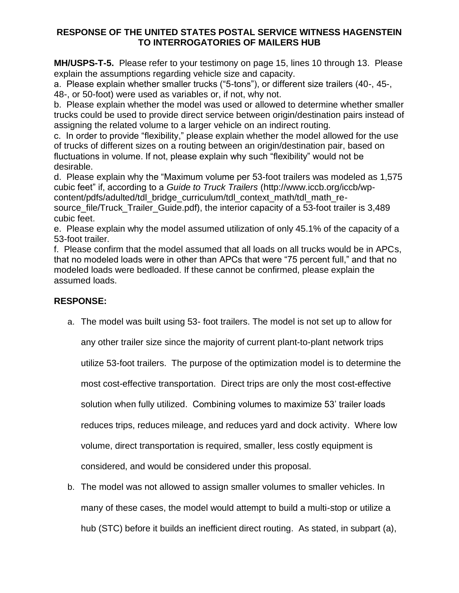**MH/USPS-T-5.** Please refer to your testimony on page 15, lines 10 through 13. Please explain the assumptions regarding vehicle size and capacity.

a. Please explain whether smaller trucks ("5-tons"), or different size trailers (40-, 45-,

48-, or 50-foot) were used as variables or, if not, why not.

b. Please explain whether the model was used or allowed to determine whether smaller trucks could be used to provide direct service between origin/destination pairs instead of assigning the related volume to a larger vehicle on an indirect routing.

c. In order to provide "flexibility," please explain whether the model allowed for the use of trucks of different sizes on a routing between an origin/destination pair, based on fluctuations in volume. If not, please explain why such "flexibility" would not be desirable.

d. Please explain why the "Maximum volume per 53-foot trailers was modeled as 1,575 cubic feet" if, according to a *Guide to Truck Trailers* (http://www.iccb.org/iccb/wpcontent/pdfs/adulted/tdl\_bridge\_curriculum/tdl\_context\_math/tdl\_math\_resource file/Truck Trailer Guide.pdf), the interior capacity of a 53-foot trailer is 3,489 cubic feet.

e. Please explain why the model assumed utilization of only 45.1% of the capacity of a 53-foot trailer.

f. Please confirm that the model assumed that all loads on all trucks would be in APCs, that no modeled loads were in other than APCs that were "75 percent full," and that no modeled loads were bedloaded. If these cannot be confirmed, please explain the assumed loads.

# **RESPONSE:**

a. The model was built using 53- foot trailers. The model is not set up to allow for

any other trailer size since the majority of current plant-to-plant network trips

utilize 53-foot trailers. The purpose of the optimization model is to determine the

most cost-effective transportation. Direct trips are only the most cost-effective

solution when fully utilized. Combining volumes to maximize 53' trailer loads

reduces trips, reduces mileage, and reduces yard and dock activity. Where low

volume, direct transportation is required, smaller, less costly equipment is

considered, and would be considered under this proposal.

b. The model was not allowed to assign smaller volumes to smaller vehicles. In many of these cases, the model would attempt to build a multi-stop or utilize a hub (STC) before it builds an inefficient direct routing. As stated, in subpart (a),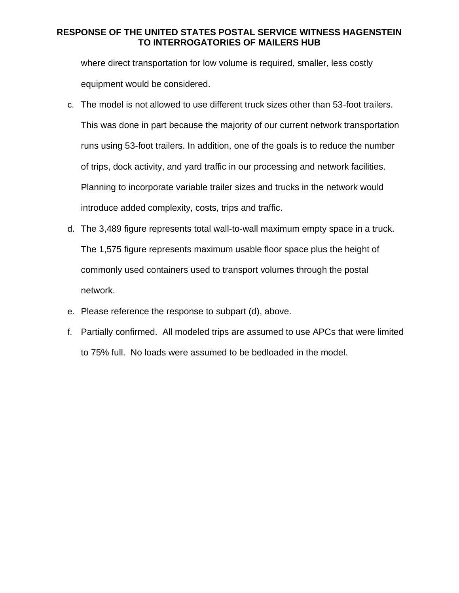where direct transportation for low volume is required, smaller, less costly equipment would be considered.

- c. The model is not allowed to use different truck sizes other than 53-foot trailers. This was done in part because the majority of our current network transportation runs using 53-foot trailers. In addition, one of the goals is to reduce the number of trips, dock activity, and yard traffic in our processing and network facilities. Planning to incorporate variable trailer sizes and trucks in the network would introduce added complexity, costs, trips and traffic.
- d. The 3,489 figure represents total wall-to-wall maximum empty space in a truck. The 1,575 figure represents maximum usable floor space plus the height of commonly used containers used to transport volumes through the postal network.
- e. Please reference the response to subpart (d), above.
- f. Partially confirmed. All modeled trips are assumed to use APCs that were limited to 75% full. No loads were assumed to be bedloaded in the model.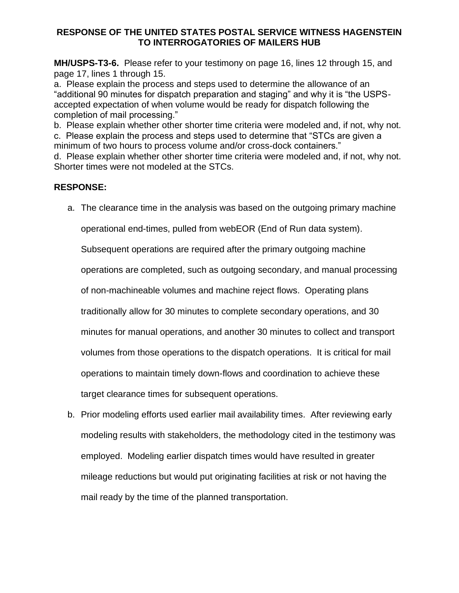**MH/USPS-T3-6.** Please refer to your testimony on page 16, lines 12 through 15, and page 17, lines 1 through 15.

a. Please explain the process and steps used to determine the allowance of an "additional 90 minutes for dispatch preparation and staging" and why it is "the USPSaccepted expectation of when volume would be ready for dispatch following the completion of mail processing."

b. Please explain whether other shorter time criteria were modeled and, if not, why not. c. Please explain the process and steps used to determine that "STCs are given a minimum of two hours to process volume and/or cross-dock containers." d. Please explain whether other shorter time criteria were modeled and, if not, why not. Shorter times were not modeled at the STCs.

# **RESPONSE:**

a. The clearance time in the analysis was based on the outgoing primary machine

operational end-times, pulled from webEOR (End of Run data system).

Subsequent operations are required after the primary outgoing machine

operations are completed, such as outgoing secondary, and manual processing

of non-machineable volumes and machine reject flows. Operating plans

traditionally allow for 30 minutes to complete secondary operations, and 30

minutes for manual operations, and another 30 minutes to collect and transport

volumes from those operations to the dispatch operations. It is critical for mail

operations to maintain timely down-flows and coordination to achieve these

target clearance times for subsequent operations.

b. Prior modeling efforts used earlier mail availability times. After reviewing early modeling results with stakeholders, the methodology cited in the testimony was employed. Modeling earlier dispatch times would have resulted in greater mileage reductions but would put originating facilities at risk or not having the mail ready by the time of the planned transportation.